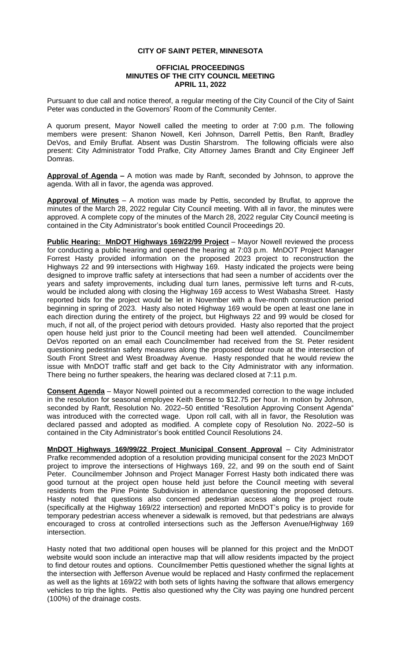## **CITY OF SAINT PETER, MINNESOTA**

## **OFFICIAL PROCEEDINGS MINUTES OF THE CITY COUNCIL MEETING APRIL 11, 2022**

Pursuant to due call and notice thereof, a regular meeting of the City Council of the City of Saint Peter was conducted in the Governors' Room of the Community Center.

A quorum present, Mayor Nowell called the meeting to order at 7:00 p.m. The following members were present: Shanon Nowell, Keri Johnson, Darrell Pettis, Ben Ranft, Bradley DeVos, and Emily Bruflat. Absent was Dustin Sharstrom. The following officials were also present: City Administrator Todd Prafke, City Attorney James Brandt and City Engineer Jeff Domras.

**Approval of Agenda –** A motion was made by Ranft, seconded by Johnson, to approve the agenda. With all in favor, the agenda was approved.

**Approval of Minutes** – A motion was made by Pettis, seconded by Bruflat, to approve the minutes of the March 28, 2022 regular City Council meeting. With all in favor, the minutes were approved. A complete copy of the minutes of the March 28, 2022 regular City Council meeting is contained in the City Administrator's book entitled Council Proceedings 20.

**Public Hearing: MnDOT Highways 169/22/99 Project** – Mayor Nowell reviewed the process for conducting a public hearing and opened the hearing at 7:03 p.m. MnDOT Project Manager Forrest Hasty provided information on the proposed 2023 project to reconstruction the Highways 22 and 99 intersections with Highway 169. Hasty indicated the projects were being designed to improve traffic safety at intersections that had seen a number of accidents over the years and safety improvements, including dual turn lanes, permissive left turns and R-cuts, would be included along with closing the Highway 169 access to West Wabasha Street. Hasty reported bids for the project would be let in November with a five-month construction period beginning in spring of 2023. Hasty also noted Highway 169 would be open at least one lane in each direction during the entirety of the project, but Highways 22 and 99 would be closed for much, if not all, of the project period with detours provided. Hasty also reported that the project open house held just prior to the Council meeting had been well attended. Councilmember DeVos reported on an email each Councilmember had received from the St. Peter resident questioning pedestrian safety measures along the proposed detour route at the intersection of South Front Street and West Broadway Avenue. Hasty responded that he would review the issue with MnDOT traffic staff and get back to the City Administrator with any information. There being no further speakers, the hearing was declared closed at 7:11 p.m.

**Consent Agenda** – Mayor Nowell pointed out a recommended correction to the wage included in the resolution for seasonal employee Keith Bense to \$12.75 per hour. In motion by Johnson, seconded by Ranft, Resolution No. 2022-50 entitled "Resolution Approving Consent Agenda" was introduced with the corrected wage. Upon roll call, with all in favor, the Resolution was declared passed and adopted as modified. A complete copy of Resolution No. 2022–50 is contained in the City Administrator's book entitled Council Resolutions 24.

**MnDOT Highways 169/99/22 Project Municipal Consent Approval** – City Administrator Prafke recommended adoption of a resolution providing municipal consent for the 2023 MnDOT project to improve the intersections of Highways 169, 22, and 99 on the south end of Saint Peter. Councilmember Johnson and Project Manager Forrest Hasty both indicated there was good turnout at the project open house held just before the Council meeting with several residents from the Pine Pointe Subdivision in attendance questioning the proposed detours. Hasty noted that questions also concerned pedestrian access along the project route (specifically at the Highway 169/22 intersection) and reported MnDOT's policy is to provide for temporary pedestrian access whenever a sidewalk is removed, but that pedestrians are always encouraged to cross at controlled intersections such as the Jefferson Avenue/Highway 169 intersection.

Hasty noted that two additional open houses will be planned for this project and the MnDOT website would soon include an interactive map that will allow residents impacted by the project to find detour routes and options. Councilmember Pettis questioned whether the signal lights at the intersection with Jefferson Avenue would be replaced and Hasty confirmed the replacement as well as the lights at 169/22 with both sets of lights having the software that allows emergency vehicles to trip the lights. Pettis also questioned why the City was paying one hundred percent (100%) of the drainage costs.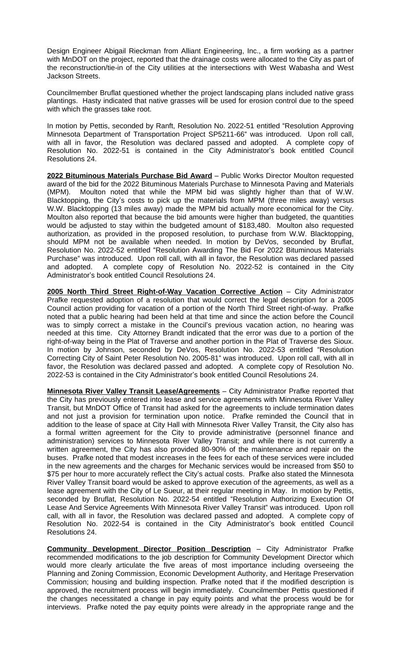Design Engineer Abigail Rieckman from Alliant Engineering, Inc., a firm working as a partner with MnDOT on the project, reported that the drainage costs were allocated to the City as part of the reconstruction/tie-in of the City utilities at the intersections with West Wabasha and West Jackson Streets.

Councilmember Bruflat questioned whether the project landscaping plans included native grass plantings. Hasty indicated that native grasses will be used for erosion control due to the speed with which the grasses take root.

In motion by Pettis, seconded by Ranft, Resolution No. 2022-51 entitled "Resolution Approving Minnesota Department of Transportation Project SP5211-66" was introduced. Upon roll call, with all in favor, the Resolution was declared passed and adopted. A complete copy of Resolution No. 2022-51 is contained in the City Administrator's book entitled Council Resolutions 24.

**2022 Bituminous Materials Purchase Bid Award** – Public Works Director Moulton requested award of the bid for the 2022 Bituminous Materials Purchase to Minnesota Paving and Materials (MPM). Moulton noted that while the MPM bid was slightly higher than that of W.W. Blacktopping, the City's costs to pick up the materials from MPM (three miles away) versus W.W. Blacktopping (13 miles away) made the MPM bid actually more economical for the City. Moulton also reported that because the bid amounts were higher than budgeted, the quantities would be adjusted to stay within the budgeted amount of \$183,480. Moulton also requested authorization, as provided in the proposed resolution, to purchase from W.W. Blacktopping, should MPM not be available when needed. In motion by DeVos, seconded by Bruflat, Resolution No. 2022-52 entitled "Resolution Awarding The Bid For 2022 Bituminous Materials Purchase" was introduced. Upon roll call, with all in favor, the Resolution was declared passed and adopted. A complete copy of Resolution No. 2022-52 is contained in the City Administrator's book entitled Council Resolutions 24.

**2005 North Third Street Right-of-Way Vacation Corrective Action** – City Administrator Prafke requested adoption of a resolution that would correct the legal description for a 2005 Council action providing for vacation of a portion of the North Third Street right-of-way. Prafke noted that a public hearing had been held at that time and since the action before the Council was to simply correct a mistake in the Council's previous vacation action, no hearing was needed at this time. City Attorney Brandt indicated that the error was due to a portion of the right-of-way being in the Plat of Traverse and another portion in the Plat of Traverse des Sioux. In motion by Johnson, seconded by DeVos, Resolution No. 2022-53 entitled "Resolution Correcting City of Saint Peter Resolution No. 2005-81" was introduced. Upon roll call, with all in favor, the Resolution was declared passed and adopted. A complete copy of Resolution No. 2022-53 is contained in the City Administrator's book entitled Council Resolutions 24.

**Minnesota River Valley Transit Lease/Agreements** – City Administrator Prafke reported that the City has previously entered into lease and service agreements with Minnesota River Valley Transit, but MnDOT Office of Transit had asked for the agreements to include termination dates and not just a provision for termination upon notice. Prafke reminded the Council that in addition to the lease of space at City Hall with Minnesota River Valley Transit, the City also has a formal written agreement for the City to provide administrative (personnel finance and administration) services to Minnesota River Valley Transit; and while there is not currently a written agreement, the City has also provided 80-90% of the maintenance and repair on the buses. Prafke noted that modest increases in the fees for each of these services were included in the new agreements and the charges for Mechanic services would be increased from \$50 to \$75 per hour to more accurately reflect the City's actual costs. Prafke also stated the Minnesota River Valley Transit board would be asked to approve execution of the agreements, as well as a lease agreement with the City of Le Sueur, at their regular meeting in May. In motion by Pettis, seconded by Bruflat, Resolution No. 2022-54 entitled "Resolution Authorizing Execution Of Lease And Service Agreements With Minnesota River Valley Transit" was introduced. Upon roll call, with all in favor, the Resolution was declared passed and adopted. A complete copy of Resolution No. 2022-54 is contained in the City Administrator's book entitled Council Resolutions 24.

**Community Development Director Position Description** – City Administrator Prafke recommended modifications to the job description for Community Development Director which would more clearly articulate the five areas of most importance including overseeing the Planning and Zoning Commission, Economic Development Authority, and Heritage Preservation Commission; housing and building inspection. Prafke noted that if the modified description is approved, the recruitment process will begin immediately. Councilmember Pettis questioned if the changes necessitated a change in pay equity points and what the process would be for interviews. Prafke noted the pay equity points were already in the appropriate range and the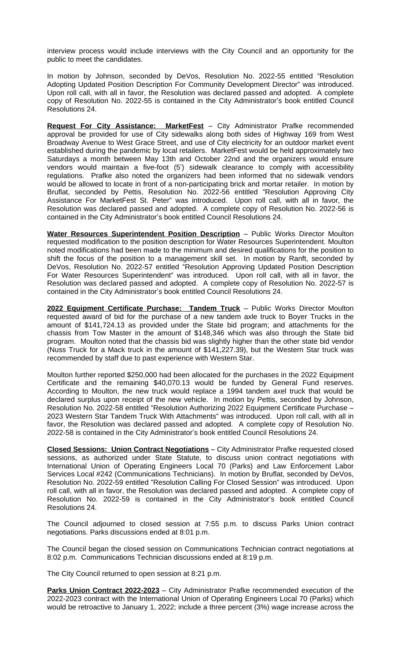interview process would include interviews with the City Council and an opportunity for the public to meet the candidates.

In motion by Johnson, seconded by DeVos, Resolution No. 2022-55 entitled "Resolution Adopting Updated Position Description For Community Development Director" was introduced. Upon roll call, with all in favor, the Resolution was declared passed and adopted. A complete copy of Resolution No. 2022-55 is contained in the City Administrator's book entitled Council Resolutions 24.

**Request For City Assistance: MarketFest** – City Administrator Prafke recommended approval be provided for use of City sidewalks along both sides of Highway 169 from West Broadway Avenue to West Grace Street, and use of City electricity for an outdoor market event established during the pandemic by local retailers. MarketFest would be held approximately two Saturdays a month between May 13th and October 22nd and the organizers would ensure vendors would maintain a five-foot (5') sidewalk clearance to comply with accessibility regulations. Prafke also noted the organizers had been informed that no sidewalk vendors would be allowed to locate in front of a non-participating brick and mortar retailer. In motion by Bruflat, seconded by Pettis, Resolution No. 2022-56 entitled "Resolution Approving City Assistance For MarketFest St. Peter" was introduced. Upon roll call, with all in favor, the Resolution was declared passed and adopted. A complete copy of Resolution No. 2022-56 is contained in the City Administrator's book entitled Council Resolutions 24.

**Water Resources Superintendent Position Description** – Public Works Director Moulton requested modification to the position description for Water Resources Superintendent. Moulton noted modifications had been made to the minimum and desired qualifications for the position to shift the focus of the position to a management skill set. In motion by Ranft, seconded by DeVos, Resolution No. 2022-57 entitled "Resolution Approving Updated Position Description For Water Resources Superintendent" was introduced. Upon roll call, with all in favor, the Resolution was declared passed and adopted. A complete copy of Resolution No. 2022-57 is contained in the City Administrator's book entitled Council Resolutions 24.

**2022 Equipment Certificate Purchase: Tandem Truck** – Public Works Director Moulton requested award of bid for the purchase of a new tandem axle truck to Boyer Trucks in the amount of \$141,724.13 as provided under the State bid program; and attachments for the chassis from Tow Master in the amount of \$148,346 which was also through the State bid program. Moulton noted that the chassis bid was slightly higher than the other state bid vendor (Nuss Truck for a Mack truck in the amount of \$141,227.39), but the Western Star truck was recommended by staff due to past experience with Western Star.

Moulton further reported \$250,000 had been allocated for the purchases in the 2022 Equipment Certificate and the remaining \$40,070.13 would be funded by General Fund reserves. According to Moulton, the new truck would replace a 1994 tandem axel truck that would be declared surplus upon receipt of the new vehicle. In motion by Pettis, seconded by Johnson, Resolution No. 2022-58 entitled "Resolution Authorizing 2022 Equipment Certificate Purchase – 2023 Western Star Tandem Truck With Attachments" was introduced. Upon roll call, with all in favor, the Resolution was declared passed and adopted. A complete copy of Resolution No. 2022-58 is contained in the City Administrator's book entitled Council Resolutions 24.

**Closed Sessions: Union Contract Negotiations** – City Administrator Prafke requested closed sessions, as authorized under State Statute, to discuss union contract negotiations with International Union of Operating Engineers Local 70 (Parks) and Law Enforcement Labor Services Local #242 (Communications Technicians). In motion by Bruflat, seconded by DeVos, Resolution No. 2022-59 entitled "Resolution Calling For Closed Session" was introduced. Upon roll call, with all in favor, the Resolution was declared passed and adopted. A complete copy of Resolution No. 2022-59 is contained in the City Administrator's book entitled Council Resolutions 24.

The Council adjourned to closed session at 7:55 p.m. to discuss Parks Union contract negotiations. Parks discussions ended at 8:01 p.m.

The Council began the closed session on Communications Technician contract negotiations at 8:02 p.m. Communications Technician discussions ended at 8:19 p.m.

The City Council returned to open session at 8:21 p.m.

**Parks Union Contract 2022-2023** – City Administrator Prafke recommended execution of the 2022-2023 contract with the International Union of Operating Engineers Local 70 (Parks) which would be retroactive to January 1, 2022; include a three percent (3%) wage increase across the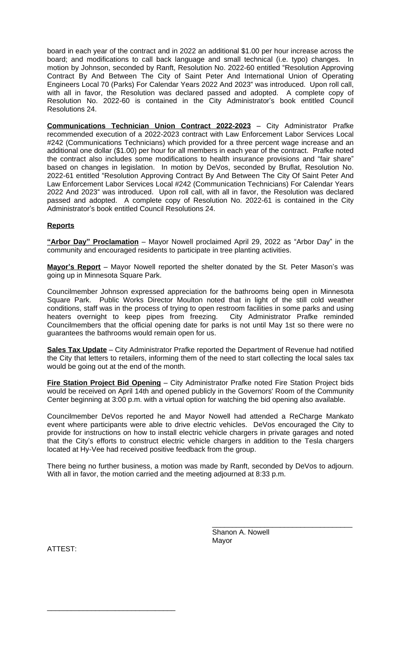board in each year of the contract and in 2022 an additional \$1.00 per hour increase across the board; and modifications to call back language and small technical (i.e. typo) changes. In motion by Johnson, seconded by Ranft, Resolution No. 2022-60 entitled "Resolution Approving Contract By And Between The City of Saint Peter And International Union of Operating Engineers Local 70 (Parks) For Calendar Years 2022 And 2023" was introduced. Upon roll call, with all in favor, the Resolution was declared passed and adopted. A complete copy of Resolution No. 2022-60 is contained in the City Administrator's book entitled Council Resolutions 24.

**Communications Technician Union Contract 2022-2023** – City Administrator Prafke recommended execution of a 2022-2023 contract with Law Enforcement Labor Services Local #242 (Communications Technicians) which provided for a three percent wage increase and an additional one dollar (\$1.00) per hour for all members in each year of the contract. Prafke noted the contract also includes some modifications to health insurance provisions and "fair share" based on changes in legislation. In motion by DeVos, seconded by Bruflat, Resolution No. 2022-61 entitled "Resolution Approving Contract By And Between The City Of Saint Peter And Law Enforcement Labor Services Local #242 (Communication Technicians) For Calendar Years 2022 And 2023" was introduced. Upon roll call, with all in favor, the Resolution was declared passed and adopted. A complete copy of Resolution No. 2022-61 is contained in the City Administrator's book entitled Council Resolutions 24.

## **Reports**

**"Arbor Day" Proclamation** – Mayor Nowell proclaimed April 29, 2022 as "Arbor Day" in the community and encouraged residents to participate in tree planting activities.

**Mayor's Report** – Mayor Nowell reported the shelter donated by the St. Peter Mason's was going up in Minnesota Square Park.

Councilmember Johnson expressed appreciation for the bathrooms being open in Minnesota Square Park. Public Works Director Moulton noted that in light of the still cold weather conditions, staff was in the process of trying to open restroom facilities in some parks and using heaters overnight to keep pipes from freezing. City Administrator Prafke reminded Councilmembers that the official opening date for parks is not until May 1st so there were no guarantees the bathrooms would remain open for us.

**Sales Tax Update** – City Administrator Prafke reported the Department of Revenue had notified the City that letters to retailers, informing them of the need to start collecting the local sales tax would be going out at the end of the month.

**Fire Station Project Bid Opening** – City Administrator Prafke noted Fire Station Project bids would be received on April 14th and opened publicly in the Governors' Room of the Community Center beginning at 3:00 p.m. with a virtual option for watching the bid opening also available.

Councilmember DeVos reported he and Mayor Nowell had attended a ReCharge Mankato event where participants were able to drive electric vehicles. DeVos encouraged the City to provide for instructions on how to install electric vehicle chargers in private garages and noted that the City's efforts to construct electric vehicle chargers in addition to the Tesla chargers located at Hy-Vee had received positive feedback from the group.

There being no further business, a motion was made by Ranft, seconded by DeVos to adjourn. With all in favor, the motion carried and the meeting adjourned at 8:33 p.m.

ATTEST:

\_\_\_\_\_\_\_\_\_\_\_\_\_\_\_\_\_\_\_\_\_\_\_\_\_\_\_\_\_\_\_\_

\_\_\_\_\_\_\_\_\_\_\_\_\_\_\_\_\_\_\_\_\_\_\_\_\_\_\_\_\_\_\_\_\_\_\_ Shanon A. Nowell Mayor